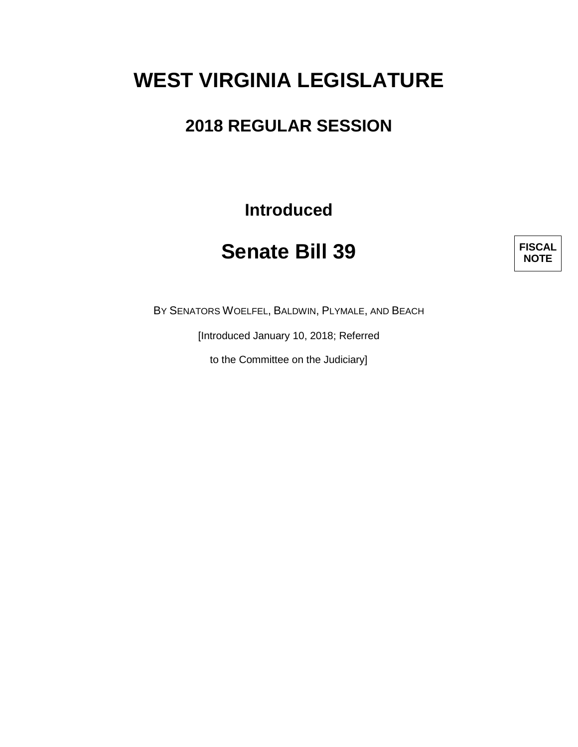# **WEST VIRGINIA LEGISLATURE**

### **2018 REGULAR SESSION**

**Introduced**

## **Senate Bill 39**

**FISCAL NOTE**

BY SENATORS WOELFEL, BALDWIN, PLYMALE, AND BEACH

[Introduced January 10, 2018; Referred

to the Committee on the Judiciary]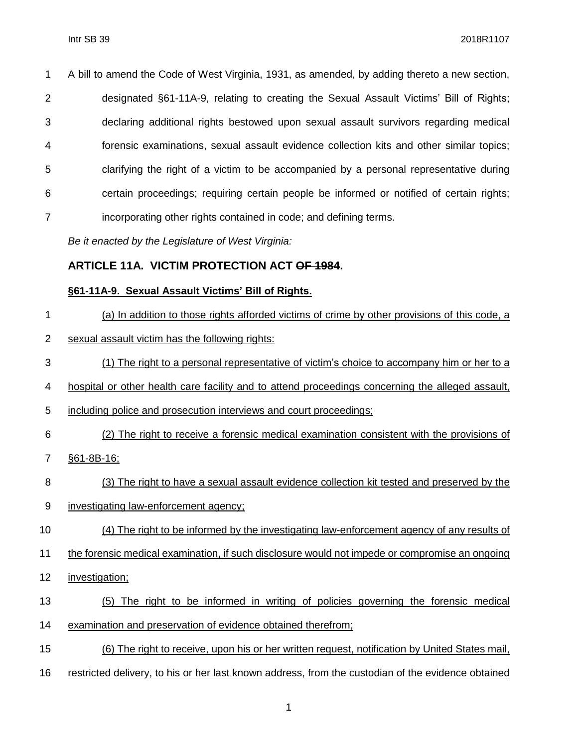A bill to amend the Code of West Virginia, 1931, as amended, by adding thereto a new section, designated §61-11A-9, relating to creating the Sexual Assault Victims' Bill of Rights; declaring additional rights bestowed upon sexual assault survivors regarding medical forensic examinations, sexual assault evidence collection kits and other similar topics; clarifying the right of a victim to be accompanied by a personal representative during certain proceedings; requiring certain people be informed or notified of certain rights; 7 incorporating other rights contained in code; and defining terms.

*Be it enacted by the Legislature of West Virginia:*

### **ARTICLE 11A. VICTIM PROTECTION ACT OF 1984.**

#### **§61-11A-9. Sexual Assault Victims' Bill of Rights.**

- (a) In addition to those rights afforded victims of crime by other provisions of this code, a
- sexual assault victim has the following rights:
- (1) The right to a personal representative of victim's choice to accompany him or her to a
- hospital or other health care facility and to attend proceedings concerning the alleged assault,
- including police and prosecution interviews and court proceedings;
- (2) The right to receive a forensic medical examination consistent with the provisions of
- §61-8B-16;
- (3) The right to have a sexual assault evidence collection kit tested and preserved by the
- investigating law-enforcement agency;
- 10 (4) The right to be informed by the investigating law-enforcement agency of any results of
- the forensic medical examination, if such disclosure would not impede or compromise an ongoing
- investigation;
- (5) The right to be informed in writing of policies governing the forensic medical
- examination and preservation of evidence obtained therefrom;
- (6) The right to receive, upon his or her written request, notification by United States mail,
- restricted delivery, to his or her last known address, from the custodian of the evidence obtained